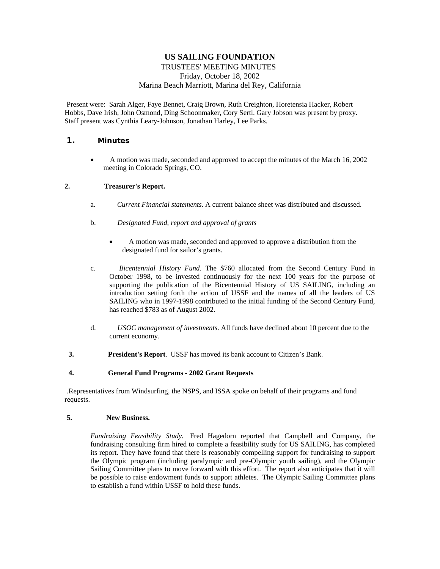# **US SAILING FOUNDATION**

## TRUSTEES' MEETING MINUTES Friday, October 18, 2002 Marina Beach Marriott, Marina del Rey, California

Present were: Sarah Alger, Faye Bennet, Craig Brown, Ruth Creighton, Horetensia Hacker, Robert Hobbs, Dave Irish, John Osmond, Ding Schoonmaker, Cory Sertl. Gary Jobson was present by proxy. Staff present was Cynthia Leary-Johnson, Jonathan Harley, Lee Parks.

## **1. Minutes**

• A motion was made, seconded and approved to accept the minutes of the March 16, 2002 meeting in Colorado Springs, CO.

#### **2. Treasurer's Report.**

- a. *Current Financial statements.* A current balance sheet was distributed and discussed.
- b. *Designated Fund, report and approval of grants*
	- A motion was made, seconded and approved to approve a distribution from the designated fund for sailor's grants.
- c. *Bicentennial History Fund.* The \$760 allocated from the Second Century Fund in October 1998, to be invested continuously for the next 100 years for the purpose of supporting the publication of the Bicentennial History of US SAILING, including an introduction setting forth the action of USSF and the names of all the leaders of US SAILING who in 1997-1998 contributed to the initial funding of the Second Century Fund, has reached \$783 as of August 2002.
- d. *USOC management of investments*. All funds have declined about 10 percent due to the current economy.
- **3. President's Report**. USSF has moved its bank account to Citizen's Bank.

#### **4. General Fund Programs - 2002 Grant Requests**

.Representatives from Windsurfing, the NSPS, and ISSA spoke on behalf of their programs and fund requests.

#### **5. New Business.**

*Fundraising Feasibility Study*. Fred Hagedorn reported that Campbell and Company, the fundraising consulting firm hired to complete a feasibility study for US SAILING, has completed its report. They have found that there is reasonably compelling support for fundraising to support the Olympic program (including paralympic and pre-Olympic youth sailing), and the Olympic Sailing Committee plans to move forward with this effort. The report also anticipates that it will be possible to raise endowment funds to support athletes. The Olympic Sailing Committee plans to establish a fund within USSF to hold these funds.